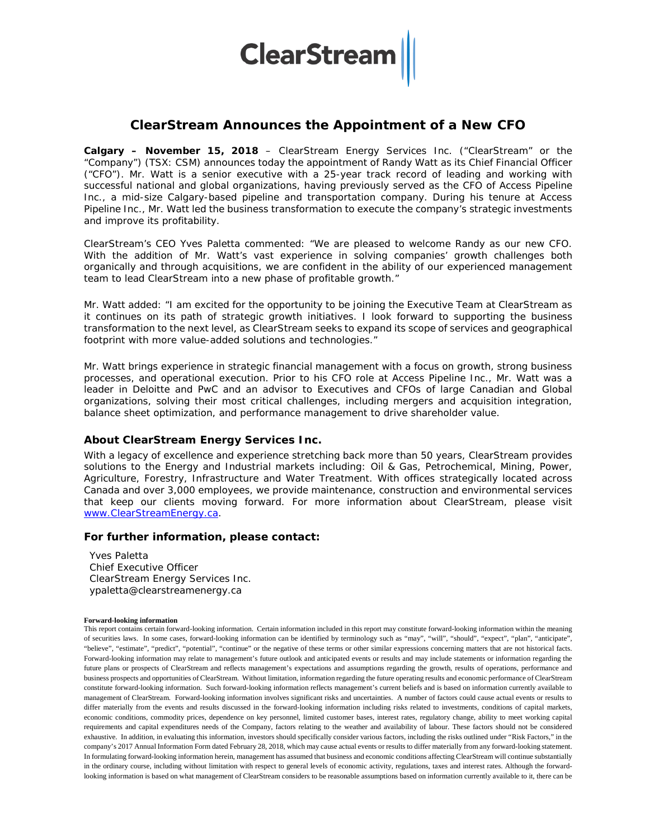# **ClearStream**

## **ClearStream Announces the Appointment of a New CFO**

**Calgary – November 15, 2018** – ClearStream Energy Services Inc. ("ClearStream" or the "Company") (TSX: CSM) announces today the appointment of Randy Watt as its Chief Financial Officer ("CFO"). Mr. Watt is a senior executive with a 25-year track record of leading and working with successful national and global organizations, having previously served as the CFO of Access Pipeline Inc., a mid-size Calgary-based pipeline and transportation company. During his tenure at Access Pipeline Inc., Mr. Watt led the business transformation to execute the company's strategic investments and improve its profitability.

ClearStream's CEO Yves Paletta commented: "We are pleased to welcome Randy as our new CFO. With the addition of Mr. Watt's vast experience in solving companies' growth challenges both organically and through acquisitions, we are confident in the ability of our experienced management team to lead ClearStream into a new phase of profitable growth."

Mr. Watt added: "I am excited for the opportunity to be joining the Executive Team at ClearStream as it continues on its path of strategic growth initiatives. I look forward to supporting the business transformation to the next level, as ClearStream seeks to expand its scope of services and geographical footprint with more value-added solutions and technologies."

Mr. Watt brings experience in strategic financial management with a focus on growth, strong business processes, and operational execution. Prior to his CFO role at Access Pipeline Inc., Mr. Watt was a leader in Deloitte and PwC and an advisor to Executives and CFOs of large Canadian and Global organizations, solving their most critical challenges, including mergers and acquisition integration, balance sheet optimization, and performance management to drive shareholder value.

### **About ClearStream Energy Services Inc.**

With a legacy of excellence and experience stretching back more than 50 years, ClearStream provides solutions to the Energy and Industrial markets including: Oil & Gas, Petrochemical, Mining, Power, Agriculture, Forestry, Infrastructure and Water Treatment. With offices strategically located across Canada and over 3,000 employees, we provide maintenance, construction and environmental services that keep our clients moving forward. For more information about ClearStream, please visit [www.ClearStreamEnergy.ca.](http://www.clearstreamenergy.ca/)

### **For further information, please contact:**

Yves Paletta Chief Executive Officer ClearStream Energy Services Inc. ypaletta@clearstreamenergy.ca

#### **Forward-looking information**

This report contains certain forward-looking information. Certain information included in this report may constitute forward-looking information within the meaning of securities laws. In some cases, forward-looking information can be identified by terminology such as "may", "will", "should", "expect", "plan", "anticipate", "believe", "estimate", "predict", "potential", "continue" or the negative of these terms or other similar expressions concerning matters that are not historical facts. Forward-looking information may relate to management's future outlook and anticipated events or results and may include statements or information regarding the future plans or prospects of ClearStream and reflects management's expectations and assumptions regarding the growth, results of operations, performance and business prospects and opportunities of ClearStream. Without limitation, information regarding the future operating results and economic performance of ClearStream constitute forward-looking information. Such forward-looking information reflects management's current beliefs and is based on information currently available to management of ClearStream. Forward-looking information involves significant risks and uncertainties. A number of factors could cause actual events or results to differ materially from the events and results discussed in the forward-looking information including risks related to investments, conditions of capital markets, economic conditions, commodity prices, dependence on key personnel, limited customer bases, interest rates, regulatory change, ability to meet working capital requirements and capital expenditures needs of the Company, factors relating to the weather and availability of labour. These factors should not be considered exhaustive. In addition, in evaluating this information, investors should specifically consider various factors, including the risks outlined under "Risk Factors," in the company's 2017 Annual Information Form dated February 28, 2018, which may cause actual events or results to differ materially from any forward-looking statement. In formulating forward-looking information herein, management has assumed that business and economic conditions affecting ClearStream will continue substantially in the ordinary course, including without limitation with respect to general levels of economic activity, regulations, taxes and interest rates. Although the forwardlooking information is based on what management of ClearStream considers to be reasonable assumptions based on information currently available to it, there can be